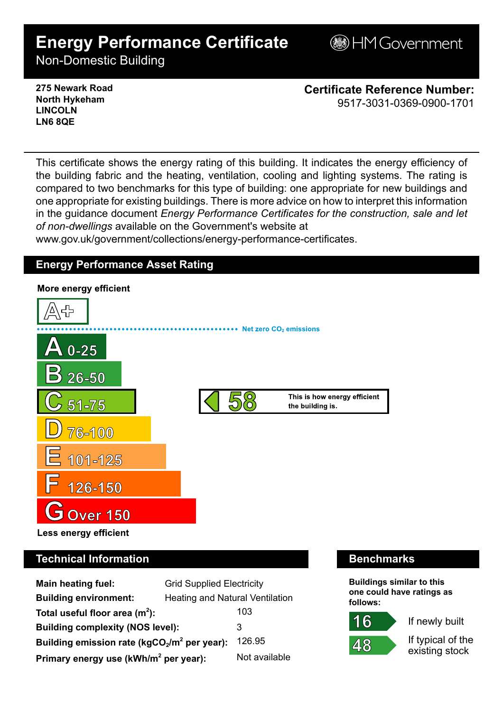# **Energy Performance Certificate**

**B**HM Government

Non-Domestic Building

### **275 Newark Road North Hykeham LINCOLN LN6 8QE**

**Certificate Reference Number:** 9517-3031-0369-0900-1701

This certificate shows the energy rating of this building. It indicates the energy efficiency of the building fabric and the heating, ventilation, cooling and lighting systems. The rating is compared to two benchmarks for this type of building: one appropriate for new buildings and one appropriate for existing buildings. There is more advice on how to interpret this information in the guidance document *Energy Performance Certificates for the construction, sale and let of non-dwellings* available on the Government's website at

www.gov.uk/government/collections/energy-performance-certificates.

# **Energy Performance Asset Rating**



# **Technical Information Benchmarks**

| <b>Main heating fuel:</b>                                | <b>Grid Supplied Electricity</b>       |               |
|----------------------------------------------------------|----------------------------------------|---------------|
| <b>Building environment:</b>                             | <b>Heating and Natural Ventilation</b> |               |
| Total useful floor area $(m^2)$ :                        |                                        | 103           |
| <b>Building complexity (NOS level):</b>                  |                                        | 3             |
| Building emission rate ( $kgCO2/m2$ per year):<br>126.95 |                                        |               |
| Primary energy use (kWh/m <sup>2</sup> per year):        |                                        | Not available |

**Buildings similar to this one could have ratings as follows:**

If newly built

48

6

If typical of the existing stock